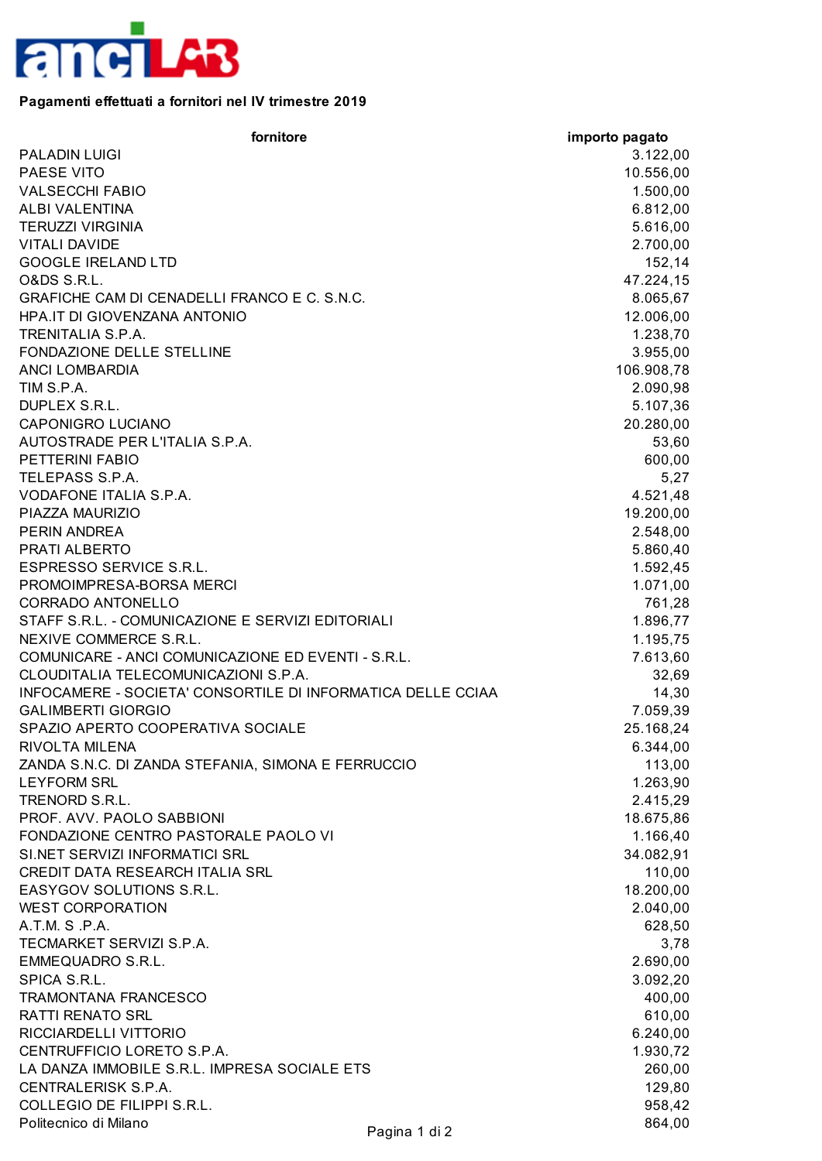

## **Pagamenti effettuati a fornitori nel IV trimestre 2019**

| fornitore                                                   | importo pagato |
|-------------------------------------------------------------|----------------|
| <b>PALADIN LUIGI</b>                                        | 3.122,00       |
| PAESE VITO                                                  | 10.556,00      |
| <b>VALSECCHI FABIO</b>                                      | 1.500,00       |
| ALBI VALENTINA                                              | 6.812,00       |
| <b>TERUZZI VIRGINIA</b>                                     | 5.616,00       |
| <b>VITALI DAVIDE</b>                                        | 2.700,00       |
| <b>GOOGLE IRELAND LTD</b>                                   | 152,14         |
| <b>O&amp;DS S.R.L.</b>                                      | 47.224,15      |
| GRAFICHE CAM DI CENADELLI FRANCO E C. S.N.C.                | 8.065,67       |
| HPA.IT DI GIOVENZANA ANTONIO                                | 12.006,00      |
| <b>TRENITALIA S.P.A.</b>                                    | 1.238,70       |
| FONDAZIONE DELLE STELLINE                                   | 3.955,00       |
| <b>ANCI LOMBARDIA</b>                                       | 106.908,78     |
| TIM S.P.A.                                                  | 2.090,98       |
| DUPLEX S.R.L.                                               | 5.107,36       |
| <b>CAPONIGRO LUCIANO</b>                                    | 20.280,00      |
| AUTOSTRADE PER L'ITALIA S.P.A.                              | 53,60          |
| <b>PETTERINI FABIO</b>                                      | 600,00         |
| TELEPASS S.P.A.                                             | 5,27           |
| VODAFONE ITALIA S.P.A.                                      | 4.521,48       |
| PIAZZA MAURIZIO                                             | 19.200,00      |
| PERIN ANDREA                                                | 2.548,00       |
| PRATI ALBERTO                                               | 5.860,40       |
| <b>ESPRESSO SERVICE S.R.L.</b>                              | 1.592,45       |
| PROMOIMPRESA-BORSA MERCI                                    | 1.071,00       |
| <b>CORRADO ANTONELLO</b>                                    | 761,28         |
| STAFF S.R.L. - COMUNICAZIONE E SERVIZI EDITORIALI           | 1.896,77       |
| NEXIVE COMMERCE S.R.L.                                      | 1.195,75       |
| COMUNICARE - ANCI COMUNICAZIONE ED EVENTI - S.R.L.          | 7.613,60       |
| CLOUDITALIA TELECOMUNICAZIONI S.P.A.                        | 32,69          |
| INFOCAMERE - SOCIETA' CONSORTILE DI INFORMATICA DELLE CCIAA | 14,30          |
| <b>GALIMBERTI GIORGIO</b>                                   | 7.059,39       |
| SPAZIO APERTO COOPERATIVA SOCIALE                           | 25.168,24      |
| RIVOLTA MILENA                                              | 6.344,00       |
| ZANDA S.N.C. DI ZANDA STEFANIA, SIMONA E FERRUCCIO          | 113,00         |
| <b>LEYFORM SRL</b>                                          | 1.263,90       |
| TRENORD S.R.L.                                              | 2.415,29       |
| PROF. AVV. PAOLO SABBIONI                                   | 18.675,86      |
| FONDAZIONE CENTRO PASTORALE PAOLO VI                        | 1.166,40       |
| SI.NET SERVIZI INFORMATICI SRL                              | 34.082,91      |
| CREDIT DATA RESEARCH ITALIA SRL                             | 110,00         |
| EASYGOV SOLUTIONS S.R.L.                                    | 18.200,00      |
| <b>WEST CORPORATION</b>                                     | 2.040,00       |
| A.T.M. S.P.A.                                               | 628,50         |
| TECMARKET SERVIZI S.P.A.                                    | 3,78           |
| <b>EMMEQUADRO S.R.L.</b>                                    | 2.690,00       |
| SPICA S.R.L.                                                | 3.092,20       |
| <b>TRAMONTANA FRANCESCO</b>                                 | 400,00         |
| <b>RATTI RENATO SRL</b>                                     | 610,00         |
| RICCIARDELLI VITTORIO                                       | 6.240,00       |
| CENTRUFFICIO LORETO S.P.A.                                  | 1.930,72       |
| LA DANZA IMMOBILE S.R.L. IMPRESA SOCIALE ETS                | 260,00         |
| CENTRALERISK S.P.A.                                         | 129,80         |
| COLLEGIO DE FILIPPI S.R.L.                                  | 958,42         |
| Politecnico di Milano<br>Pagina 1 di 2                      | 864,00         |